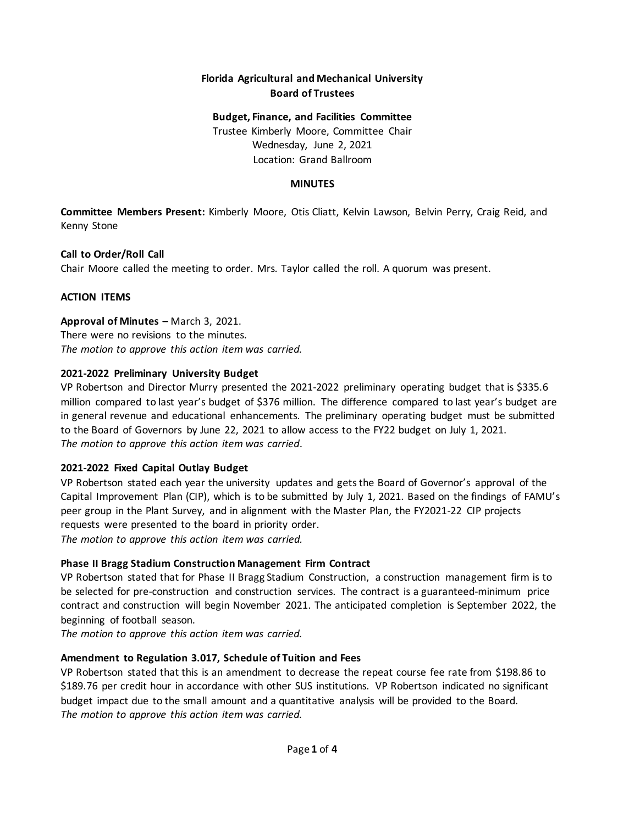# **Florida Agricultural and Mechanical University Board of Trustees**

# **Budget, Finance, and Facilities Committee**

Trustee Kimberly Moore, Committee Chair Wednesday, June 2, 2021 Location: Grand Ballroom

### **MINUTES**

**Committee Members Present:** Kimberly Moore, Otis Cliatt, Kelvin Lawson, Belvin Perry, Craig Reid, and Kenny Stone

### **Call to Order/Roll Call**

Chair Moore called the meeting to order. Mrs. Taylor called the roll. A quorum was present.

### **ACTION ITEMS**

### **Approval of Minutes –** March 3, 2021.

There were no revisions to the minutes. *The motion to approve this action item was carried.* 

### **2021-2022 Preliminary University Budget**

VP Robertson and Director Murry presented the 2021-2022 preliminary operating budget that is \$335.6 million compared to last year's budget of \$376 million. The difference compared to last year's budget are in general revenue and educational enhancements. The preliminary operating budget must be submitted to the Board of Governors by June 22, 2021 to allow access to the FY22 budget on July 1, 2021. *The motion to approve this action item was carried.*

# **2021-2022 Fixed Capital Outlay Budget**

VP Robertson stated each year the university updates and gets the Board of Governor's approval of the Capital Improvement Plan (CIP), which is to be submitted by July 1, 2021. Based on the findings of FAMU's peer group in the Plant Survey, and in alignment with the Master Plan, the FY2021-22 CIP projects requests were presented to the board in priority order.

*The motion to approve this action item was carried.*

# **Phase II Bragg Stadium Construction Management Firm Contract**

VP Robertson stated that for Phase II Bragg Stadium Construction, a construction management firm is to be selected for pre-construction and construction services. The contract is a guaranteed-minimum price contract and construction will begin November 2021. The anticipated completion is September 2022, the beginning of football season.

*The motion to approve this action item was carried.*

### **Amendment to Regulation 3.017, Schedule of Tuition and Fees**

VP Robertson stated that this is an amendment to decrease the repeat course fee rate from \$198.86 to \$189.76 per credit hour in accordance with other SUS institutions. VP Robertson indicated no significant budget impact due to the small amount and a quantitative analysis will be provided to the Board. *The motion to approve this action item was carried.*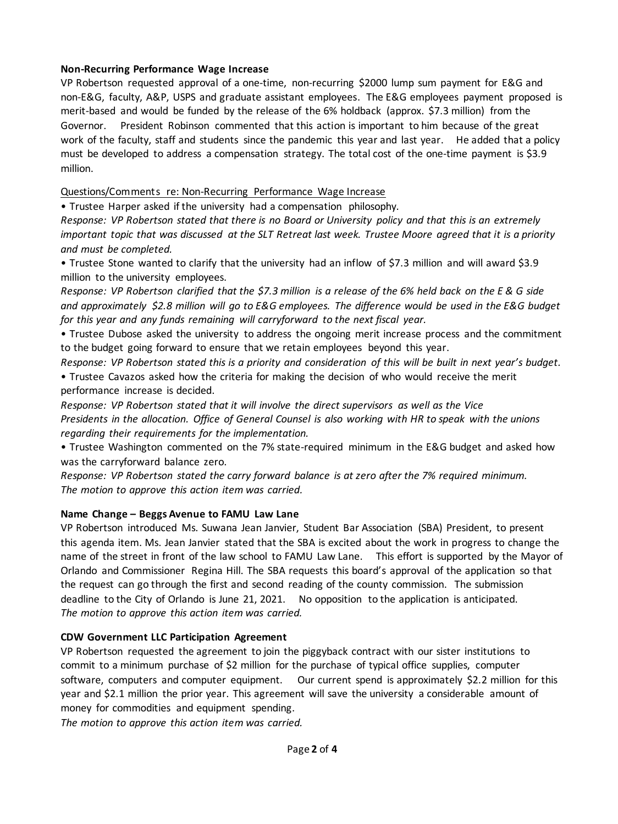### **Non-Recurring Performance Wage Increase**

VP Robertson requested approval of a one-time, non-recurring \$2000 lump sum payment for E&G and non-E&G, faculty, A&P, USPS and graduate assistant employees. The E&G employees payment proposed is merit-based and would be funded by the release of the 6% holdback (approx. \$7.3 million) from the Governor. President Robinson commented that this action is important to him because of the great work of the faculty, staff and students since the pandemic this year and last year. He added that a policy must be developed to address a compensation strategy. The total cost of the one-time payment is \$3.9 million.

Questions/Comments re: Non-Recurring Performance Wage Increase

• Trustee Harper asked if the university had a compensation philosophy.

*Response: VP Robertson stated that there is no Board or University policy and that this is an extremely important topic that was discussed at the SLT Retreat last week. Trustee Moore agreed that it is a priority and must be completed.*

• Trustee Stone wanted to clarify that the university had an inflow of \$7.3 million and will award \$3.9 million to the university employees.

*Response: VP Robertson clarified that the \$7.3 million is a release of the 6% held back on the E & G side and approximately \$2.8 million will go to E&G employees. The difference would be used in the E&G budget for this year and any funds remaining will carryforward to the next fiscal year.* 

• Trustee Dubose asked the university to address the ongoing merit increase process and the commitment to the budget going forward to ensure that we retain employees beyond this year.

*Response: VP Robertson stated this is a priority and consideration of this will be built in next year's budget.* • Trustee Cavazos asked how the criteria for making the decision of who would receive the merit performance increase is decided.

*Response: VP Robertson stated that it will involve the direct supervisors as well as the Vice Presidents in the allocation. Office of General Counsel is also working with HR to speak with the unions regarding their requirements for the implementation.*

• Trustee Washington commented on the 7% state-required minimum in the E&G budget and asked how was the carryforward balance zero.

*Response: VP Robertson stated the carry forward balance is at zero after the 7% required minimum. The motion to approve this action item was carried.*

# **Name Change – Beggs Avenue to FAMU Law Lane**

VP Robertson introduced Ms. Suwana Jean Janvier, Student Bar Association (SBA) President, to present this agenda item. Ms. Jean Janvier stated that the SBA is excited about the work in progress to change the name of the street in front of the law school to FAMU Law Lane. This effort is supported by the Mayor of Orlando and Commissioner Regina Hill. The SBA requests this board's approval of the application so that the request can go through the first and second reading of the county commission. The submission deadline to the City of Orlando is June 21, 2021. No opposition to the application is anticipated. *The motion to approve this action item was carried.*

### **CDW Government LLC Participation Agreement**

VP Robertson requested the agreement to join the piggyback contract with our sister institutions to commit to a minimum purchase of \$2 million for the purchase of typical office supplies, computer software, computers and computer equipment. Our current spend is approximately \$2.2 million for this year and \$2.1 million the prior year. This agreement will save the university a considerable amount of money for commodities and equipment spending.

*The motion to approve this action item was carried.*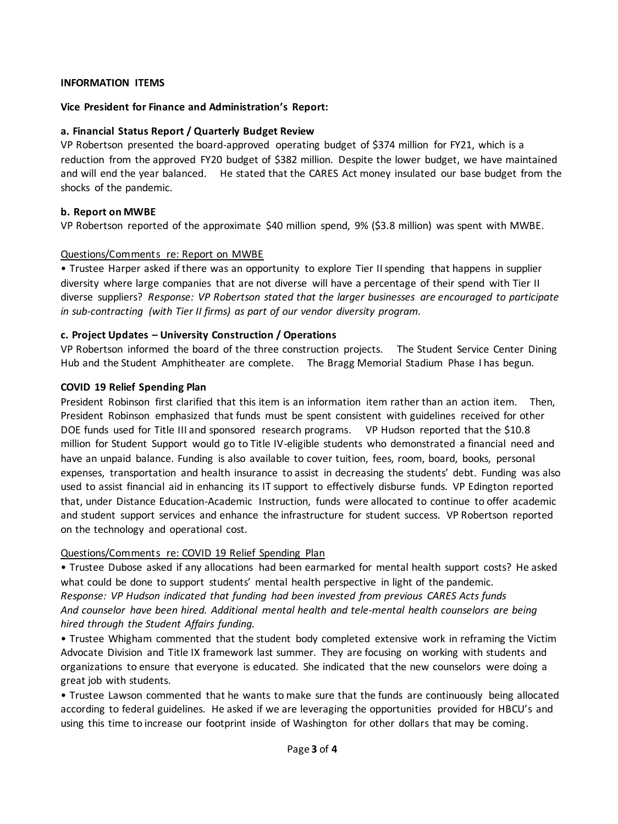### **INFORMATION ITEMS**

#### **Vice President for Finance and Administration's Report:**

#### **a. Financial Status Report / Quarterly Budget Review**

VP Robertson presented the board-approved operating budget of \$374 million for FY21, which is a reduction from the approved FY20 budget of \$382 million. Despite the lower budget, we have maintained and will end the year balanced. He stated that the CARES Act money insulated our base budget from the shocks of the pandemic.

#### **b. Report on MWBE**

VP Robertson reported of the approximate \$40 million spend, 9% (\$3.8 million) was spent with MWBE.

#### Questions/Comments re: Report on MWBE

• Trustee Harper asked if there was an opportunity to explore Tier II spending that happens in supplier diversity where large companies that are not diverse will have a percentage of their spend with Tier II diverse suppliers? *Response: VP Robertson stated that the larger businesses are encouraged to participate in sub-contracting (with Tier II firms) as part of our vendor diversity program.*

### **c. Project Updates – University Construction / Operations**

VP Robertson informed the board of the three construction projects. The Student Service Center Dining Hub and the Student Amphitheater are complete. The Bragg Memorial Stadium Phase I has begun.

#### **COVID 19 Relief Spending Plan**

President Robinson first clarified that this item is an information item rather than an action item. Then, President Robinson emphasized that funds must be spent consistent with guidelines received for other DOE funds used for Title III and sponsored research programs. VP Hudson reported that the \$10.8 million for Student Support would go to Title IV-eligible students who demonstrated a financial need and have an unpaid balance. Funding is also available to cover tuition, fees, room, board, books, personal expenses, transportation and health insurance to assist in decreasing the students' debt. Funding was also used to assist financial aid in enhancing its IT support to effectively disburse funds. VP Edington reported that, under Distance Education-Academic Instruction, funds were allocated to continue to offer academic and student support services and enhance the infrastructure for student success. VP Robertson reported on the technology and operational cost.

### Questions/Comments re: COVID 19 Relief Spending Plan

• Trustee Dubose asked if any allocations had been earmarked for mental health support costs? He asked what could be done to support students' mental health perspective in light of the pandemic. *Response: VP Hudson indicated that funding had been invested from previous CARES Acts funds And counselor have been hired. Additional mental health and tele-mental health counselors are being hired through the Student Affairs funding.*

• Trustee Whigham commented that the student body completed extensive work in reframing the Victim Advocate Division and Title IX framework last summer. They are focusing on working with students and organizations to ensure that everyone is educated. She indicated that the new counselors were doing a great job with students.

• Trustee Lawson commented that he wants to make sure that the funds are continuously being allocated according to federal guidelines. He asked if we are leveraging the opportunities provided for HBCU's and using this time to increase our footprint inside of Washington for other dollars that may be coming.